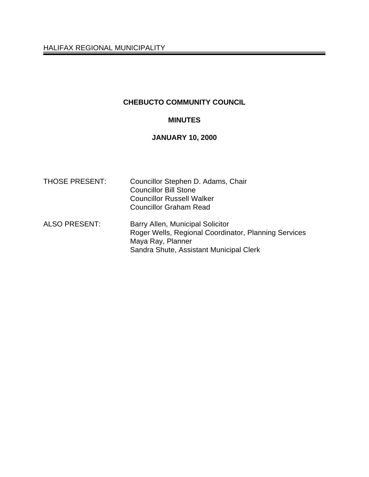# **CHEBUCTO COMMUNITY COUNCIL**

## **MINUTES**

# **JANUARY 10, 2000**

| <b>THOSE PRESENT:</b> | Councillor Stephen D. Adams, Chair<br><b>Councillor Bill Stone</b><br><b>Councillor Russell Walker</b><br><b>Councillor Graham Read</b>                  |
|-----------------------|----------------------------------------------------------------------------------------------------------------------------------------------------------|
| <b>ALSO PRESENT:</b>  | Barry Allen, Municipal Solicitor<br>Roger Wells, Regional Coordinator, Planning Services<br>Maya Ray, Planner<br>Sandra Shute, Assistant Municipal Clerk |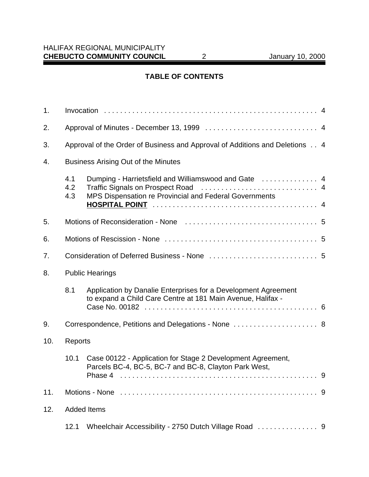# **TABLE OF CONTENTS**

| 1.  |                                                                             |                                                                                                                                 |   |  |
|-----|-----------------------------------------------------------------------------|---------------------------------------------------------------------------------------------------------------------------------|---|--|
| 2.  |                                                                             |                                                                                                                                 |   |  |
| 3.  | Approval of the Order of Business and Approval of Additions and Deletions 4 |                                                                                                                                 |   |  |
| 4.  | <b>Business Arising Out of the Minutes</b>                                  |                                                                                                                                 |   |  |
|     | 4.1<br>4.2<br>4.3                                                           | MPS Dispensation re Provincial and Federal Governments                                                                          |   |  |
|     |                                                                             |                                                                                                                                 |   |  |
| 5.  |                                                                             |                                                                                                                                 |   |  |
| 6.  |                                                                             |                                                                                                                                 |   |  |
| 7.  |                                                                             |                                                                                                                                 |   |  |
| 8.  |                                                                             | <b>Public Hearings</b>                                                                                                          |   |  |
|     | 8.1                                                                         | Application by Danalie Enterprises for a Development Agreement<br>to expand a Child Care Centre at 181 Main Avenue, Halifax -   |   |  |
| 9.  | Correspondence, Petitions and Delegations - None  8                         |                                                                                                                                 |   |  |
| 10. | <b>Reports</b>                                                              |                                                                                                                                 |   |  |
|     | 10.1                                                                        | Case 00122 - Application for Stage 2 Development Agreement,<br>Parcels BC-4, BC-5, BC-7 and BC-8, Clayton Park West,<br>Phase 4 | 9 |  |
| 11. |                                                                             |                                                                                                                                 |   |  |
| 12. | <b>Added Items</b>                                                          |                                                                                                                                 |   |  |
|     | 12.1                                                                        |                                                                                                                                 |   |  |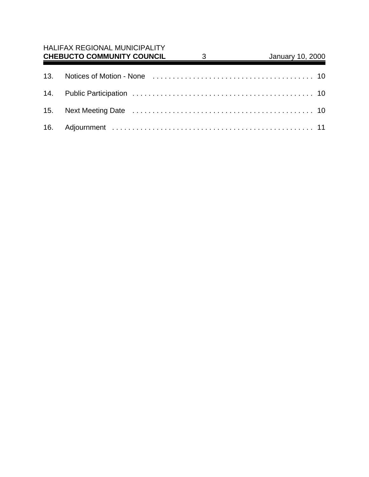# HALIFAX REGIONAL MUNICIPALITY

| <b>CHEBUCTO COMMUNITY COUNCIL</b> | January 10, 2000 |  |
|-----------------------------------|------------------|--|
|                                   |                  |  |
|                                   |                  |  |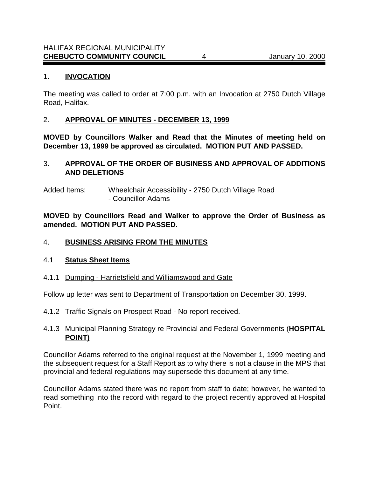#### 1. **INVOCATION**

The meeting was called to order at 7:00 p.m. with an Invocation at 2750 Dutch Village Road, Halifax.

## 2. **APPROVAL OF MINUTES - DECEMBER 13, 1999**

**MOVED by Councillors Walker and Read that the Minutes of meeting held on December 13, 1999 be approved as circulated. MOTION PUT AND PASSED.**

## 3. **APPROVAL OF THE ORDER OF BUSINESS AND APPROVAL OF ADDITIONS AND DELETIONS**

Added Items: Wheelchair Accessibility - 2750 Dutch Village Road - Councillor Adams

**MOVED by Councillors Read and Walker to approve the Order of Business as amended. MOTION PUT AND PASSED.**

### 4. **BUSINESS ARISING FROM THE MINUTES**

#### 4.1 **Status Sheet Items**

4.1.1 Dumping - Harrietsfield and Williamswood and Gate

Follow up letter was sent to Department of Transportation on December 30, 1999.

4.1.2 Traffic Signals on Prospect Road - No report received.

## 4.1.3 Municipal Planning Strategy re Provincial and Federal Governments (**HOSPITAL POINT)**

Councillor Adams referred to the original request at the November 1, 1999 meeting and the subsequent request for a Staff Report as to why there is not a clause in the MPS that provincial and federal regulations may supersede this document at any time.

Councillor Adams stated there was no report from staff to date; however, he wanted to read something into the record with regard to the project recently approved at Hospital Point.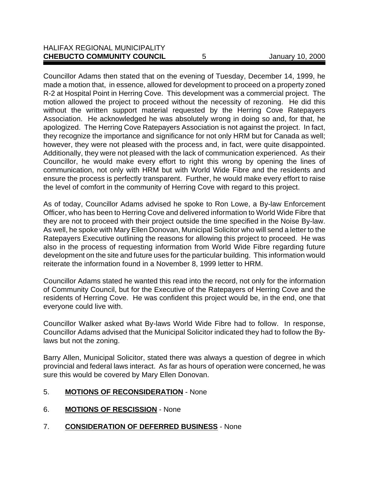#### HALIFAX REGIONAL MUNICIPALITY **CHEBUCTO COMMUNITY COUNCIL** 5 January 10, 2000

Councillor Adams then stated that on the evening of Tuesday, December 14, 1999, he made a motion that, in essence, allowed for development to proceed on a property zoned R-2 at Hospital Point in Herring Cove. This development was a commercial project. The motion allowed the project to proceed without the necessity of rezoning. He did this without the written support material requested by the Herring Cove Ratepayers Association. He acknowledged he was absolutely wrong in doing so and, for that, he apologized. The Herring Cove Ratepayers Association is not against the project. In fact, they recognize the importance and significance for not only HRM but for Canada as well; however, they were not pleased with the process and, in fact, were quite disappointed. Additionally, they were not pleased with the lack of communication experienced. As their Councillor, he would make every effort to right this wrong by opening the lines of communication, not only with HRM but with World Wide Fibre and the residents and ensure the process is perfectly transparent. Further, he would make every effort to raise the level of comfort in the community of Herring Cove with regard to this project.

As of today, Councillor Adams advised he spoke to Ron Lowe, a By-law Enforcement Officer, who has been to Herring Cove and delivered information to World Wide Fibre that they are not to proceed with their project outside the time specified in the Noise By-law. As well, he spoke with Mary Ellen Donovan, Municipal Solicitor who will send a letter to the Ratepayers Executive outlining the reasons for allowing this project to proceed. He was also in the process of requesting information from World Wide Fibre regarding future development on the site and future uses for the particular building. This information would reiterate the information found in a November 8, 1999 letter to HRM.

Councillor Adams stated he wanted this read into the record, not only for the information of Community Council, but for the Executive of the Ratepayers of Herring Cove and the residents of Herring Cove. He was confident this project would be, in the end, one that everyone could live with.

Councillor Walker asked what By-laws World Wide Fibre had to follow. In response, Councillor Adams advised that the Municipal Solicitor indicated they had to follow the Bylaws but not the zoning.

Barry Allen, Municipal Solicitor, stated there was always a question of degree in which provincial and federal laws interact. As far as hours of operation were concerned, he was sure this would be covered by Mary Ellen Donovan.

- 5. **MOTIONS OF RECONSIDERATION** None
- 6. **MOTIONS OF RESCISSION** None
- 7. **CONSIDERATION OF DEFERRED BUSINESS** None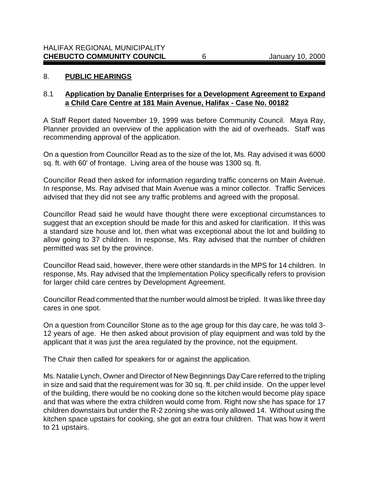#### 8. **PUBLIC HEARINGS**

#### 8.1 **Application by Danalie Enterprises for a Development Agreement to Expand a Child Care Centre at 181 Main Avenue, Halifax - Case No. 00182**

A Staff Report dated November 19, 1999 was before Community Council. Maya Ray, Planner provided an overview of the application with the aid of overheads. Staff was recommending approval of the application.

On a question from Councillor Read as to the size of the lot, Ms. Ray advised it was 6000 sq. ft. with 60' of frontage. Living area of the house was 1300 sq. ft.

Councillor Read then asked for information regarding traffic concerns on Main Avenue. In response, Ms. Ray advised that Main Avenue was a minor collector. Traffic Services advised that they did not see any traffic problems and agreed with the proposal.

Councillor Read said he would have thought there were exceptional circumstances to suggest that an exception should be made for this and asked for clarification. If this was a standard size house and lot, then what was exceptional about the lot and building to allow going to 37 children. In response, Ms. Ray advised that the number of children permitted was set by the province.

Councillor Read said, however, there were other standards in the MPS for 14 children. In response, Ms. Ray advised that the Implementation Policy specifically refers to provision for larger child care centres by Development Agreement.

Councillor Read commented that the number would almost be tripled. It was like three day cares in one spot.

On a question from Councillor Stone as to the age group for this day care, he was told 3- 12 years of age. He then asked about provision of play equipment and was told by the applicant that it was just the area regulated by the province, not the equipment.

The Chair then called for speakers for or against the application.

Ms. Natalie Lynch, Owner and Director of New Beginnings Day Care referred to the tripling in size and said that the requirement was for 30 sq. ft. per child inside. On the upper level of the building, there would be no cooking done so the kitchen would become play space and that was where the extra children would come from. Right now she has space for 17 children downstairs but under the R-2 zoning she was only allowed 14. Without using the kitchen space upstairs for cooking, she got an extra four children. That was how it went to 21 upstairs.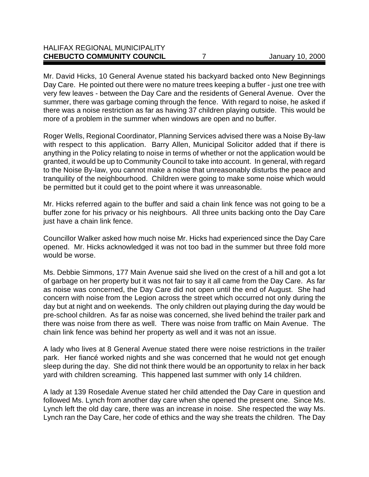## HALIFAX REGIONAL MUNICIPALITY **CHEBUCTO COMMUNITY COUNCIL** 7 7 January 10, 2000

Mr. David Hicks, 10 General Avenue stated his backyard backed onto New Beginnings Day Care. He pointed out there were no mature trees keeping a buffer - just one tree with very few leaves - between the Day Care and the residents of General Avenue. Over the summer, there was garbage coming through the fence. With regard to noise, he asked if there was a noise restriction as far as having 37 children playing outside. This would be more of a problem in the summer when windows are open and no buffer.

Roger Wells, Regional Coordinator, Planning Services advised there was a Noise By-law with respect to this application. Barry Allen, Municipal Solicitor added that if there is anything in the Policy relating to noise in terms of whether or not the application would be granted, it would be up to Community Council to take into account. In general, with regard to the Noise By-law, you cannot make a noise that unreasonably disturbs the peace and tranquility of the neighbourhood. Children were going to make some noise which would be permitted but it could get to the point where it was unreasonable.

Mr. Hicks referred again to the buffer and said a chain link fence was not going to be a buffer zone for his privacy or his neighbours. All three units backing onto the Day Care just have a chain link fence.

Councillor Walker asked how much noise Mr. Hicks had experienced since the Day Care opened. Mr. Hicks acknowledged it was not too bad in the summer but three fold more would be worse.

Ms. Debbie Simmons, 177 Main Avenue said she lived on the crest of a hill and got a lot of garbage on her property but it was not fair to say it all came from the Day Care. As far as noise was concerned, the Day Care did not open until the end of August. She had concern with noise from the Legion across the street which occurred not only during the day but at night and on weekends. The only children out playing during the day would be pre-school children. As far as noise was concerned, she lived behind the trailer park and there was noise from there as well. There was noise from traffic on Main Avenue. The chain link fence was behind her property as well and it was not an issue.

A lady who lives at 8 General Avenue stated there were noise restrictions in the trailer park. Her fiancé worked nights and she was concerned that he would not get enough sleep during the day. She did not think there would be an opportunity to relax in her back yard with children screaming. This happened last summer with only 14 children.

A lady at 139 Rosedale Avenue stated her child attended the Day Care in question and followed Ms. Lynch from another day care when she opened the present one. Since Ms. Lynch left the old day care, there was an increase in noise. She respected the way Ms. Lynch ran the Day Care, her code of ethics and the way she treats the children. The Day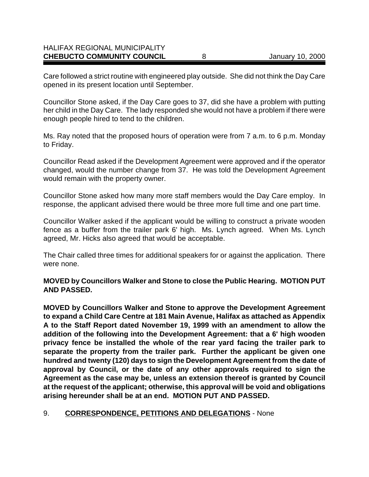#### HALIFAX REGIONAL MUNICIPALITY **CHEBUCTO COMMUNITY COUNCIL** 8 January 10, 2000

Care followed a strict routine with engineered play outside. She did not think the Day Care opened in its present location until September.

Councillor Stone asked, if the Day Care goes to 37, did she have a problem with putting her child in the Day Care. The lady responded she would not have a problem if there were enough people hired to tend to the children.

Ms. Ray noted that the proposed hours of operation were from 7 a.m. to 6 p.m. Monday to Friday.

Councillor Read asked if the Development Agreement were approved and if the operator changed, would the number change from 37. He was told the Development Agreement would remain with the property owner.

Councillor Stone asked how many more staff members would the Day Care employ. In response, the applicant advised there would be three more full time and one part time.

Councillor Walker asked if the applicant would be willing to construct a private wooden fence as a buffer from the trailer park 6' high. Ms. Lynch agreed. When Ms. Lynch agreed, Mr. Hicks also agreed that would be acceptable.

The Chair called three times for additional speakers for or against the application. There were none.

**MOVED by Councillors Walker and Stone to close the Public Hearing. MOTION PUT AND PASSED.**

**MOVED by Councillors Walker and Stone to approve the Development Agreement to expand a Child Care Centre at 181 Main Avenue, Halifax as attached as Appendix A to the Staff Report dated November 19, 1999 with an amendment to allow the addition of the following into the Development Agreement: that a 6' high wooden privacy fence be installed the whole of the rear yard facing the trailer park to separate the property from the trailer park. Further the applicant be given one hundred and twenty (120) days to sign the Development Agreement from the date of approval by Council, or the date of any other approvals required to sign the Agreement as the case may be, unless an extension thereof is granted by Council at the request of the applicant; otherwise, this approval will be void and obligations arising hereunder shall be at an end. MOTION PUT AND PASSED.**

#### 9. **CORRESPONDENCE, PETITIONS AND DELEGATIONS** - None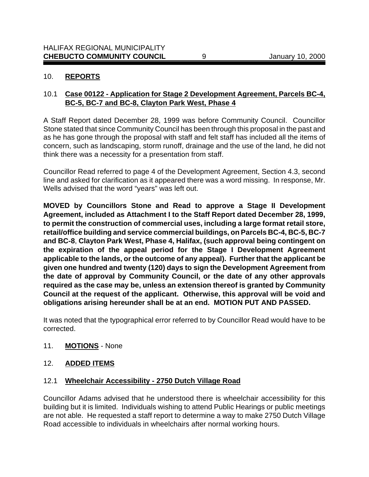## 10. **REPORTS**

## 10.1 **Case 00122 - Application for Stage 2 Development Agreement, Parcels BC-4, BC-5, BC-7 and BC-8, Clayton Park West, Phase 4**

A Staff Report dated December 28, 1999 was before Community Council. Councillor Stone stated that since Community Council has been through this proposal in the past and as he has gone through the proposal with staff and felt staff has included all the items of concern, such as landscaping, storm runoff, drainage and the use of the land, he did not think there was a necessity for a presentation from staff.

Councillor Read referred to page 4 of the Development Agreement, Section 4.3, second line and asked for clarification as it appeared there was a word missing. In response, Mr. Wells advised that the word "years" was left out.

**MOVED by Councillors Stone and Read to approve a Stage II Development Agreement, included as Attachment I to the Staff Report dated December 28, 1999, to permit the construction of commercial uses, including a large format retail store, retail/office building and service commercial buildings, on Parcels BC-4, BC-5, BC-7 and BC-8**, **Clayton Park West, Phase 4, Halifax, (such approval being contingent on the expiration of the appeal period for the Stage I Development Agreement applicable to the lands, or the outcome of any appeal). Further that the applicant be given one hundred and twenty (120) days to sign the Development Agreement from the date of approval by Community Council, or the date of any other approvals required as the case may be, unless an extension thereof is granted by Community Council at the request of the applicant. Otherwise, this approval will be void and obligations arising hereunder shall be at an end. MOTION PUT AND PASSED.**

It was noted that the typographical error referred to by Councillor Read would have to be corrected.

11. **MOTIONS** - None

#### 12. **ADDED ITEMS**

## 12.1 **Wheelchair Accessibility - 2750 Dutch Village Road**

Councillor Adams advised that he understood there is wheelchair accessibility for this building but it is limited. Individuals wishing to attend Public Hearings or public meetings are not able. He requested a staff report to determine a way to make 2750 Dutch Village Road accessible to individuals in wheelchairs after normal working hours.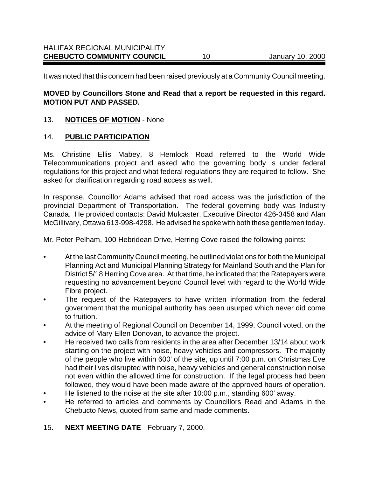It was noted that this concern had been raised previously at a Community Council meeting.

## **MOVED by Councillors Stone and Read that a report be requested in this regard. MOTION PUT AND PASSED.**

## 13. **NOTICES OF MOTION** - None

## 14. **PUBLIC PARTICIPATION**

Ms. Christine Ellis Mabey, 8 Hemlock Road referred to the World Wide Telecommunications project and asked who the governing body is under federal regulations for this project and what federal regulations they are required to follow. She asked for clarification regarding road access as well.

In response, Councillor Adams advised that road access was the jurisdiction of the provincial Department of Transportation. The federal governing body was Industry Canada. He provided contacts: David Mulcaster, Executive Director 426-3458 and Alan McGillivary, Ottawa 613-998-4298. He advised he spoke with both these gentlemen today.

Mr. Peter Pelham, 100 Hebridean Drive, Herring Cove raised the following points:

- At the last Community Council meeting, he outlined violations for both the Municipal Planning Act and Municipal Planning Strategy for Mainland South and the Plan for District 5/18 Herring Cove area. At that time, he indicated that the Ratepayers were requesting no advancement beyond Council level with regard to the World Wide Fibre project.
- The request of the Ratepayers to have written information from the federal government that the municipal authority has been usurped which never did come to fruition.
- At the meeting of Regional Council on December 14, 1999, Council voted, on the advice of Mary Ellen Donovan, to advance the project.
- He received two calls from residents in the area after December 13/14 about work starting on the project with noise, heavy vehicles and compressors. The majority of the people who live within 600' of the site, up until 7:00 p.m. on Christmas Eve had their lives disrupted with noise, heavy vehicles and general construction noise not even within the allowed time for construction. If the legal process had been followed, they would have been made aware of the approved hours of operation.
- He listened to the noise at the site after 10:00 p.m., standing 600' away.
- He referred to articles and comments by Councillors Read and Adams in the Chebucto News, quoted from same and made comments.
- 15. **NEXT MEETING DATE** February 7, 2000.